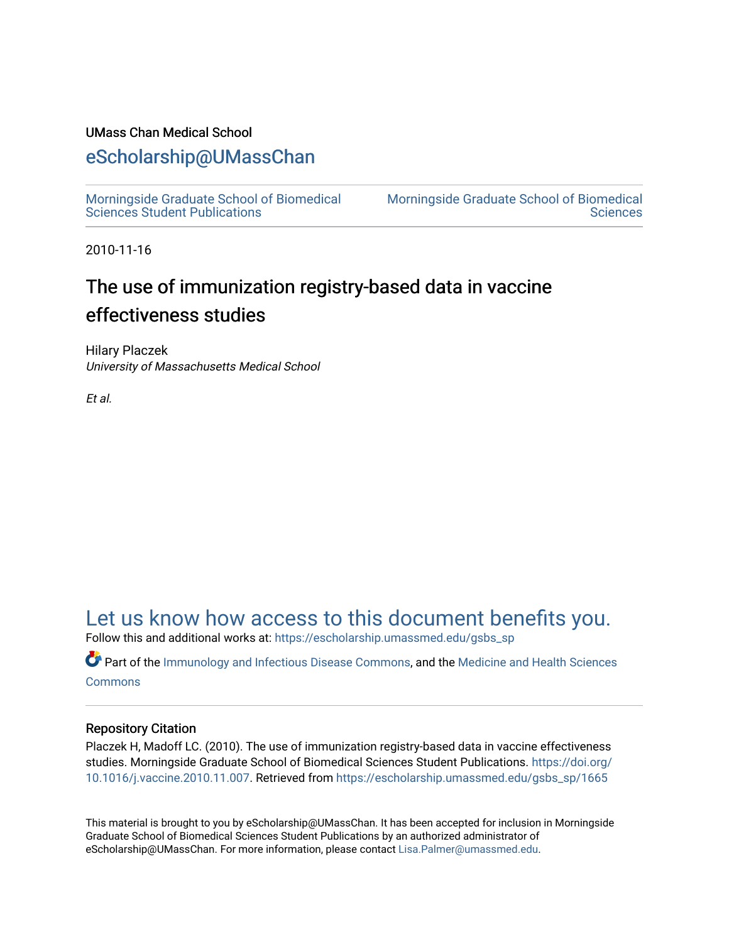### UMass Chan Medical School

### [eScholarship@UMassChan](https://escholarship.umassmed.edu/)

[Morningside Graduate School of Biomedical](https://escholarship.umassmed.edu/gsbs_sp)  [Sciences Student Publications](https://escholarship.umassmed.edu/gsbs_sp) 

[Morningside Graduate School of Biomedical](https://escholarship.umassmed.edu/gsbs)  **Sciences** 

2010-11-16

### The use of immunization registry-based data in vaccine effectiveness studies

Hilary Placzek University of Massachusetts Medical School

Et al.

### [Let us know how access to this document benefits you.](https://arcsapps.umassmed.edu/redcap/surveys/?s=XWRHNF9EJE)

Follow this and additional works at: [https://escholarship.umassmed.edu/gsbs\\_sp](https://escholarship.umassmed.edu/gsbs_sp?utm_source=escholarship.umassmed.edu%2Fgsbs_sp%2F1665&utm_medium=PDF&utm_campaign=PDFCoverPages)

Part of the [Immunology and Infectious Disease Commons,](http://network.bepress.com/hgg/discipline/33?utm_source=escholarship.umassmed.edu%2Fgsbs_sp%2F1665&utm_medium=PDF&utm_campaign=PDFCoverPages) and the [Medicine and Health Sciences](http://network.bepress.com/hgg/discipline/648?utm_source=escholarship.umassmed.edu%2Fgsbs_sp%2F1665&utm_medium=PDF&utm_campaign=PDFCoverPages)  **[Commons](http://network.bepress.com/hgg/discipline/648?utm_source=escholarship.umassmed.edu%2Fgsbs_sp%2F1665&utm_medium=PDF&utm_campaign=PDFCoverPages)** 

#### Repository Citation

Placzek H, Madoff LC. (2010). The use of immunization registry-based data in vaccine effectiveness studies. Morningside Graduate School of Biomedical Sciences Student Publications. [https://doi.org/](https://doi.org/10.1016/j.vaccine.2010.11.007) [10.1016/j.vaccine.2010.11.007.](https://doi.org/10.1016/j.vaccine.2010.11.007) Retrieved from [https://escholarship.umassmed.edu/gsbs\\_sp/1665](https://escholarship.umassmed.edu/gsbs_sp/1665?utm_source=escholarship.umassmed.edu%2Fgsbs_sp%2F1665&utm_medium=PDF&utm_campaign=PDFCoverPages) 

This material is brought to you by eScholarship@UMassChan. It has been accepted for inclusion in Morningside Graduate School of Biomedical Sciences Student Publications by an authorized administrator of eScholarship@UMassChan. For more information, please contact [Lisa.Palmer@umassmed.edu](mailto:Lisa.Palmer@umassmed.edu).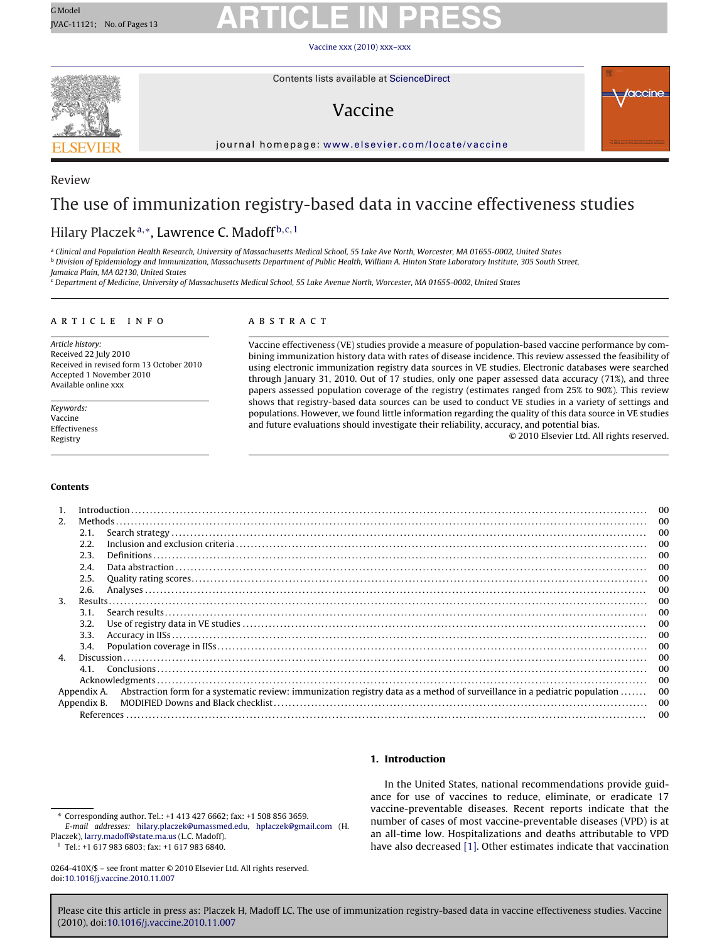#### Vaccine [xxx \(2010\) xxx–xxx](dx.doi.org/10.1016/j.vaccine.2010.11.007)



Review

Contents lists available at [ScienceDirect](http://www.sciencedirect.com/science/journal/0264410X)

### Vaccine



journal homepage: [www.elsevier.com/locate/vaccine](http://www.elsevier.com/locate/vaccine)

### The use of immunization registry-based data in vaccine effectiveness studies

### Hilary Placzek<sup>a,∗</sup>, Lawrence C. Madoff<sup>b,c,1</sup>

<sup>a</sup> Clinical and Population Health Research, University of Massachusetts Medical School, 55 Lake Ave North, Worcester, MA 01655-0002, United States <sup>b</sup> Division of Epidemiology and Immunization, Massachusetts Department of Public Health, William A. Hinton State Laboratory Institute, 305 South Street,

Jamaica Plain, MA 02130, United States

 $\sim$  Department of Medicine, University of Massachusetts Medical School, 55 Lake Avenue North, Worcester, MA 01655-0002, United States

#### article info

Article history: Received 22 July 2010 Received in revised form 13 October 2010 Accepted 1 November 2010 Available online xxx

Keywords: Vaccine Effectiveness Registry

#### **ABSTRACT**

Vaccine effectiveness (VE) studies provide a measure of population-based vaccine performance by combining immunization history data with rates of disease incidence. This review assessed the feasibility of using electronic immunization registry data sources in VE studies. Electronic databases were searched through January 31, 2010. Out of 17 studies, only one paper assessed data accuracy (71%), and three papers assessed population coverage of the registry (estimates ranged from 25% to 90%). This review shows that registry-based data sources can be used to conduct VE studies in a variety of settings and populations. However, we found little information regarding the quality of this data source in VE studies and future evaluations should investigate their reliability, accuracy, and potential bias.

© 2010 Elsevier Ltd. All rights reserved.

#### **Contents**

|                |             |                                                                                                                            | $_{00}$ |
|----------------|-------------|----------------------------------------------------------------------------------------------------------------------------|---------|
| 2 <sup>0</sup> |             |                                                                                                                            | 00      |
|                | 2.1.        |                                                                                                                            | 00      |
|                | 2.2.        |                                                                                                                            | 00      |
|                | 2.3.        |                                                                                                                            | 00      |
|                | 2.4.        |                                                                                                                            | 00      |
|                | 2.5.        |                                                                                                                            | 00      |
|                | 2.6.        |                                                                                                                            | $_{00}$ |
| 3.             |             |                                                                                                                            | 00      |
|                | 3.1.        |                                                                                                                            | $_{00}$ |
|                | 3.2.        |                                                                                                                            | 00      |
|                | 3.3.        |                                                                                                                            | $_{00}$ |
|                | 3.4.        |                                                                                                                            | 00      |
| $\mathbf{4}$   |             |                                                                                                                            | $_{00}$ |
|                | 41          |                                                                                                                            | 00      |
|                |             |                                                                                                                            | 00      |
|                | Appendix A. | Abstraction form for a systematic review: immunization registry data as a method of surveillance in a pediatric population | 00      |
|                | Appendix B. |                                                                                                                            | 00      |
|                |             |                                                                                                                            | 00      |

#### **1. Introduction**

<sup>1</sup> Tel.: +1 617 983 6803; fax: +1 617 983 6840.

0264-410X/\$ – see front matter © 2010 Elsevier Ltd. All rights reserved. doi:[10.1016/j.vaccine.2010.11.007](dx.doi.org/10.1016/j.vaccine.2010.11.007)

In the United States, national recommendations provide guidance for use of vaccines to reduce, eliminate, or eradicate 17 vaccine-preventable diseases. Recent reports indicate that the number of cases of most vaccine-preventable diseases (VPD) is at an all-time low. Hospitalizations and deaths attributable to VPD have also decreased [\[1\]. O](#page-12-0)ther estimates indicate that vaccination

<sup>∗</sup> Corresponding author. Tel.: +1 413 427 6662; fax: +1 508 856 3659. E-mail addresses: [hilary.placzek@umassmed.edu,](mailto:hilary.placzek@umassmed.edu) [hplaczek@gmail.com](mailto:hplaczek@gmail.com) (H. Placzek), [larry.madoff@state.ma.us](mailto:larry.madoff@state.ma.us) (L.C. Madoff).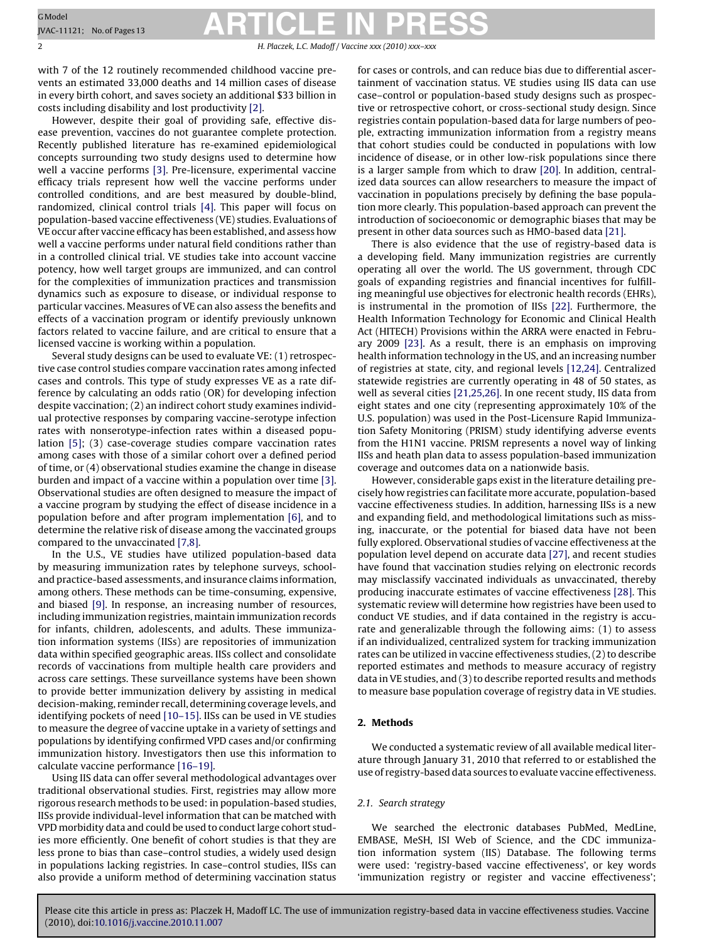2 H. Placzek, L.C. Madoff / Vaccine *xxx (2010) xxx–xxx*

with 7 of the 12 routinely recommended childhood vaccine prevents an estimated 33,000 deaths and 14 million cases of disease in every birth cohort, and saves society an additional \$33 billion in costs including disability and lost productivity [\[2\].](#page-12-0)

However, despite their goal of providing safe, effective disease prevention, vaccines do not guarantee complete protection. Recently published literature has re-examined epidemiological concepts surrounding two study designs used to determine how well a vaccine performs [\[3\]. P](#page-12-0)re-licensure, experimental vaccine efficacy trials represent how well the vaccine performs under controlled conditions, and are best measured by double-blind, randomized, clinical control trials [\[4\].](#page-12-0) This paper will focus on population-based vaccine effectiveness (VE) studies. Evaluations of VE occur after vaccine efficacy has been established, and assess how well a vaccine performs under natural field conditions rather than in a controlled clinical trial. VE studies take into account vaccine potency, how well target groups are immunized, and can control for the complexities of immunization practices and transmission dynamics such as exposure to disease, or individual response to particular vaccines. Measures of VE can also assess the benefits and effects of a vaccination program or identify previously unknown factors related to vaccine failure, and are critical to ensure that a licensed vaccine is working within a population.

Several study designs can be used to evaluate VE: (1) retrospective case control studies compare vaccination rates among infected cases and controls. This type of study expresses VE as a rate difference by calculating an odds ratio (OR) for developing infection despite vaccination; (2) an indirect cohort study examines individual protective responses by comparing vaccine-serotype infection rates with nonserotype-infection rates within a diseased population [\[5\];](#page-12-0) (3) case-coverage studies compare vaccination rates among cases with those of a similar cohort over a defined period of time, or (4) observational studies examine the change in disease burden and impact of a vaccine within a population over time [\[3\].](#page-12-0) Observational studies are often designed to measure the impact of a vaccine program by studying the effect of disease incidence in a population before and after program implementation [\[6\],](#page-12-0) and to determine the relative risk of disease among the vaccinated groups compared to the unvaccinated [\[7,8\].](#page-12-0)

In the U.S., VE studies have utilized population-based data by measuring immunization rates by telephone surveys, schooland practice-based assessments, and insurance claims information, among others. These methods can be time-consuming, expensive, and biased [\[9\]. I](#page-12-0)n response, an increasing number of resources, including immunization registries, maintain immunization records for infants, children, adolescents, and adults. These immunization information systems (IISs) are repositories of immunization data within specified geographic areas. IISs collect and consolidate records of vaccinations from multiple health care providers and across care settings. These surveillance systems have been shown to provide better immunization delivery by assisting in medical decision-making, reminder recall, determining coverage levels, and identifying pockets of need [\[10–15\]. I](#page-12-0)ISs can be used in VE studies to measure the degree of vaccine uptake in a variety of settings and populations by identifying confirmed VPD cases and/or confirming immunization history. Investigators then use this information to calculate vaccine performance [\[16–19\].](#page-12-0)

Using IIS data can offer several methodological advantages over traditional observational studies. First, registries may allow more rigorous research methods to be used: in population-based studies, IISs provide individual-level information that can be matched with VPD morbidity data and could be used to conduct large cohort studies more efficiently. One benefit of cohort studies is that they are less prone to bias than case–control studies, a widely used design in populations lacking registries. In case–control studies, IISs can also provide a uniform method of determining vaccination status

for cases or controls, and can reduce bias due to differential ascertainment of vaccination status. VE studies using IIS data can use case–control or population-based study designs such as prospective or retrospective cohort, or cross-sectional study design. Since registries contain population-based data for large numbers of people, extracting immunization information from a registry means that cohort studies could be conducted in populations with low incidence of disease, or in other low-risk populations since there is a larger sample from which to draw [\[20\]. I](#page-12-0)n addition, centralized data sources can allow researchers to measure the impact of vaccination in populations precisely by defining the base population more clearly. This population-based approach can prevent the introduction of socioeconomic or demographic biases that may be present in other data sources such as HMO-based data [\[21\].](#page-12-0)

There is also evidence that the use of registry-based data is a developing field. Many immunization registries are currently operating all over the world. The US government, through CDC goals of expanding registries and financial incentives for fulfilling meaningful use objectives for electronic health records (EHRs), is instrumental in the promotion of IISs [\[22\].](#page-12-0) Furthermore, the Health Information Technology for Economic and Clinical Health Act (HITECH) Provisions within the ARRA were enacted in February 2009 [\[23\].](#page-12-0) As a result, there is an emphasis on improving health information technology in the US, and an increasing number of registries at state, city, and regional levels [\[12,24\]. C](#page-12-0)entralized statewide registries are currently operating in 48 of 50 states, as well as several cities [\[21,25,26\]. I](#page-12-0)n one recent study, IIS data from eight states and one city (representing approximately 10% of the U.S. population) was used in the Post-Licensure Rapid Immunization Safety Monitoring (PRISM) study identifying adverse events from the H1N1 vaccine. PRISM represents a novel way of linking IISs and heath plan data to assess population-based immunization coverage and outcomes data on a nationwide basis.

However, considerable gaps exist in the literature detailing precisely how registries can facilitate more accurate, population-based vaccine effectiveness studies. In addition, harnessing IISs is a new and expanding field, and methodological limitations such as missing, inaccurate, or the potential for biased data have not been fully explored. Observational studies of vaccine effectiveness at the population level depend on accurate data [\[27\], a](#page-12-0)nd recent studies have found that vaccination studies relying on electronic records may misclassify vaccinated individuals as unvaccinated, thereby producing inaccurate estimates of vaccine effectiveness [\[28\]. T](#page-12-0)his systematic review will determine how registries have been used to conduct VE studies, and if data contained in the registry is accurate and generalizable through the following aims: (1) to assess if an individualized, centralized system for tracking immunization rates can be utilized in vaccine effectiveness studies, (2) to describe reported estimates and methods to measure accuracy of registry data in VE studies, and (3) to describe reported results and methods to measure base population coverage of registry data in VE studies.

#### **2. Methods**

We conducted a systematic review of all available medical literature through January 31, 2010 that referred to or established the use of registry-based data sources to evaluate vaccine effectiveness.

#### 2.1. Search strategy

We searched the electronic databases PubMed, MedLine, EMBASE, MeSH, ISI Web of Science, and the CDC immunization information system (IIS) Database. The following terms were used: 'registry-based vaccine effectiveness', or key words 'immunization registry or register and vaccine effectiveness';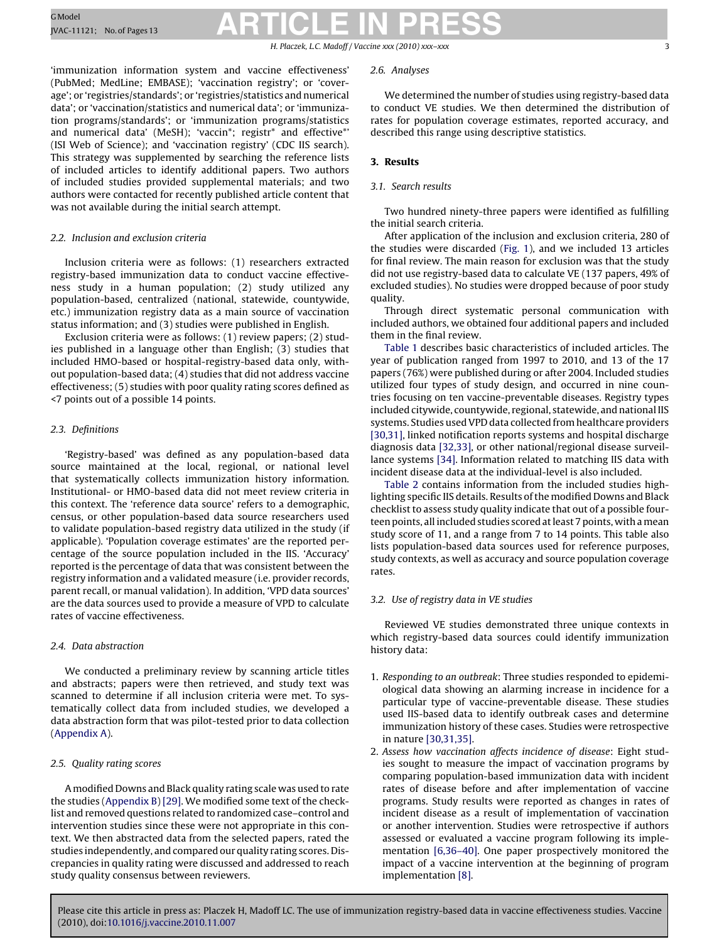H. Placzek, L.C. Madoff / Vaccine *xxx (2010) xxx–xxx* 3

'immunization information system and vaccine effectiveness' (PubMed; MedLine; EMBASE); 'vaccination registry'; or 'coverage'; or 'registries/standards'; or 'registries/statistics and numerical data'; or 'vaccination/statistics and numerical data'; or 'immunization programs/standards'; or 'immunization programs/statistics and numerical data' (MeSH); 'vaccin\*; registr\* and effective\*' (ISI Web of Science); and 'vaccination registry' (CDC IIS search). This strategy was supplemented by searching the reference lists of included articles to identify additional papers. Two authors of included studies provided supplemental materials; and two authors were contacted for recently published article content that was not available during the initial search attempt.

#### 2.2. Inclusion and exclusion criteria

Inclusion criteria were as follows: (1) researchers extracted registry-based immunization data to conduct vaccine effectiveness study in a human population; (2) study utilized any population-based, centralized (national, statewide, countywide, etc.) immunization registry data as a main source of vaccination status information; and (3) studies were published in English.

Exclusion criteria were as follows: (1) review papers; (2) studies published in a language other than English; (3) studies that included HMO-based or hospital-registry-based data only, without population-based data; (4) studies that did not address vaccine effectiveness; (5) studies with poor quality rating scores defined as <7 points out of a possible 14 points.

#### 2.3. Definitions

'Registry-based' was defined as any population-based data source maintained at the local, regional, or national level that systematically collects immunization history information. Institutional- or HMO-based data did not meet review criteria in this context. The 'reference data source' refers to a demographic, census, or other population-based data source researchers used to validate population-based registry data utilized in the study (if applicable). 'Population coverage estimates' are the reported percentage of the source population included in the IIS. 'Accuracy' reported is the percentage of data that was consistent between the registry information and a validated measure (i.e. provider records, parent recall, or manual validation). In addition, 'VPD data sources' are the data sources used to provide a measure of VPD to calculate rates of vaccine effectiveness.

#### 2.4. Data abstraction

We conducted a preliminary review by scanning article titles and abstracts; papers were then retrieved, and study text was scanned to determine if all inclusion criteria were met. To systematically collect data from included studies, we developed a data abstraction form that was pilot-tested prior to data collection ([Appendix A\).](#page-8-0)

#### 2.5. Quality rating scores

A modified Downs and Black quality rating scale was used to rate the studies ([Appendix B\)](#page-10-0) [\[29\]. W](#page-12-0)e modified some text of the checklist and removed questions related to randomized case–control and intervention studies since these were not appropriate in this context. We then abstracted data from the selected papers, rated the studies independently, and compared our quality rating scores. Discrepancies in quality rating were discussed and addressed to reach study quality consensus between reviewers.

#### 2.6. Analyses

We determined the number of studies using registry-based data to conduct VE studies. We then determined the distribution of rates for population coverage estimates, reported accuracy, and described this range using descriptive statistics.

#### **3. Results**

#### 3.1. Search results

Two hundred ninety-three papers were identified as fulfilling the initial search criteria.

After application of the inclusion and exclusion criteria, 280 of the studies were discarded ([Fig. 1\),](#page-4-0) and we included 13 articles for final review. The main reason for exclusion was that the study did not use registry-based data to calculate VE (137 papers, 49% of excluded studies). No studies were dropped because of poor study quality.

Through direct systematic personal communication with included authors, we obtained four additional papers and included them in the final review.

[Table 1](#page-5-0) describes basic characteristics of included articles. The year of publication ranged from 1997 to 2010, and 13 of the 17 papers (76%) were published during or after 2004. Included studies utilized four types of study design, and occurred in nine countries focusing on ten vaccine-preventable diseases. Registry types included citywide, countywide, regional, statewide, and national IIS systems. Studies used VPD data collected from healthcare providers [\[30,31\], l](#page-12-0)inked notification reports systems and hospital discharge diagnosis data [\[32,33\], o](#page-12-0)r other national/regional disease surveillance systems [\[34\]. I](#page-12-0)nformation related to matching IIS data with incident disease data at the individual-level is also included.

[Table 2](#page-6-0) contains information from the included studies highlighting specific IIS details. Results of the modified Downs and Black checklist to assess study quality indicate that out of a possible fourteen points, all included studies scored at least 7 points, with amean study score of 11, and a range from 7 to 14 points. This table also lists population-based data sources used for reference purposes, study contexts, as well as accuracy and source population coverage rates.

#### 3.2. Use of registry data in VE studies

Reviewed VE studies demonstrated three unique contexts in which registry-based data sources could identify immunization history data:

- 1. Responding to an outbreak: Three studies responded to epidemiological data showing an alarming increase in incidence for a particular type of vaccine-preventable disease. These studies used IIS-based data to identify outbreak cases and determine immunization history of these cases. Studies were retrospective in nature [\[30,31,35\].](#page-12-0)
- 2. Assess how vaccination affects incidence of disease: Eight studies sought to measure the impact of vaccination programs by comparing population-based immunization data with incident rates of disease before and after implementation of vaccine programs. Study results were reported as changes in rates of incident disease as a result of implementation of vaccination or another intervention. Studies were retrospective if authors assessed or evaluated a vaccine program following its implementation [\[6,36–40\].](#page-12-0) One paper prospectively monitored the impact of a vaccine intervention at the beginning of program implementation [\[8\].](#page-12-0)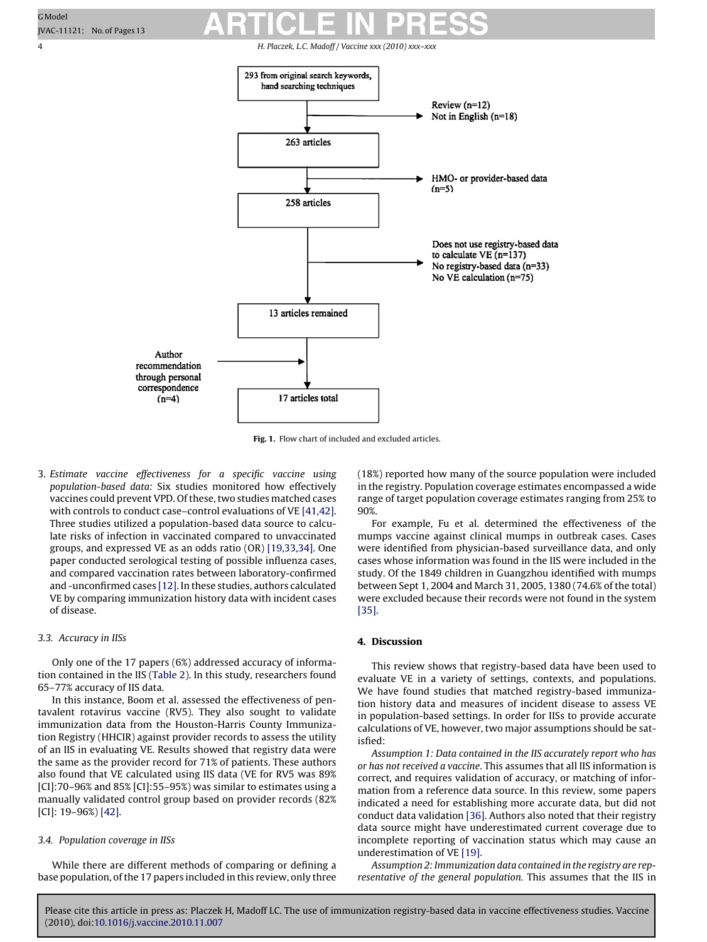<span id="page-4-0"></span>4 H. Placzek, L.C. Madoff / Vaccine *xxx (2010) xxx–xxx*



**Fig. 1.** Flow chart of included and excluded articles.

3. Estimate vaccine effectiveness for a specific vaccine using population-based data: Six studies monitored how effectively vaccines could prevent VPD. Of these, two studies matched cases with controls to conduct case–control evaluations of VE [\[41,42\].](#page-13-0) Three studies utilized a population-based data source to calculate risks of infection in vaccinated compared to unvaccinated groups, and expressed VE as an odds ratio (OR) [\[19,33,34\]. O](#page-12-0)ne paper conducted serological testing of possible influenza cases, and compared vaccination rates between laboratory-confirmed and -unconfirmed cases [\[12\]. I](#page-12-0)n these studies, authors calculated VE by comparing immunization history data with incident cases of disease.

#### 3.3. Accuracy in IISs

Only one of the 17 papers (6%) addressed accuracy of information contained in the IIS ([Table 2\).](#page-6-0) In this study, researchers found 65–77% accuracy of IIS data.

In this instance, Boom et al. assessed the effectiveness of pentavalent rotavirus vaccine (RV5). They also sought to validate immunization data from the Houston-Harris County Immunization Registry (HHCIR) against provider records to assess the utility of an IIS in evaluating VE. Results showed that registry data were the same as the provider record for 71% of patients. These authors also found that VE calculated using IIS data (VE for RV5 was 89% [CI]:70–96% and 85% [CI]:55–95%) was similar to estimates using a manually validated control group based on provider records (82% [CI]: 19–96%) [\[42\].](#page-13-0)

#### 3.4. Population coverage in IISs

While there are different methods of comparing or defining a base population, of the 17 papers included in this review, only three (18%) reported how many of the source population were included in the registry. Population coverage estimates encompassed a wide range of target population coverage estimates ranging from 25% to 90%.

For example, Fu et al. determined the effectiveness of the mumps vaccine against clinical mumps in outbreak cases. Cases were identified from physician-based surveillance data, and only cases whose information was found in the IIS were included in the study. Of the 1849 children in Guangzhou identified with mumps between Sept 1, 2004 and March 31, 2005, 1380 (74.6% of the total) were excluded because their records were not found in the system [\[35\].](#page-12-0)

#### **4. Discussion**

This review shows that registry-based data have been used to evaluate VE in a variety of settings, contexts, and populations. We have found studies that matched registry-based immunization history data and measures of incident disease to assess VE in population-based settings. In order for IISs to provide accurate calculations of VE, however, two major assumptions should be satisfied:

Assumption 1: Data contained in the IIS accurately report who has or has not received a vaccine. This assumes that all IIS information is correct, and requires validation of accuracy, or matching of information from a reference data source. In this review, some papers indicated a need for establishing more accurate data, but did not conduct data validation [\[36\]. A](#page-12-0)uthors also noted that their registry data source might have underestimated current coverage due to incomplete reporting of vaccination status which may cause an underestimation of VE [\[19\].](#page-12-0)

Assumption 2: Immunization data contained in the registry are representative of the general population. This assumes that the IIS in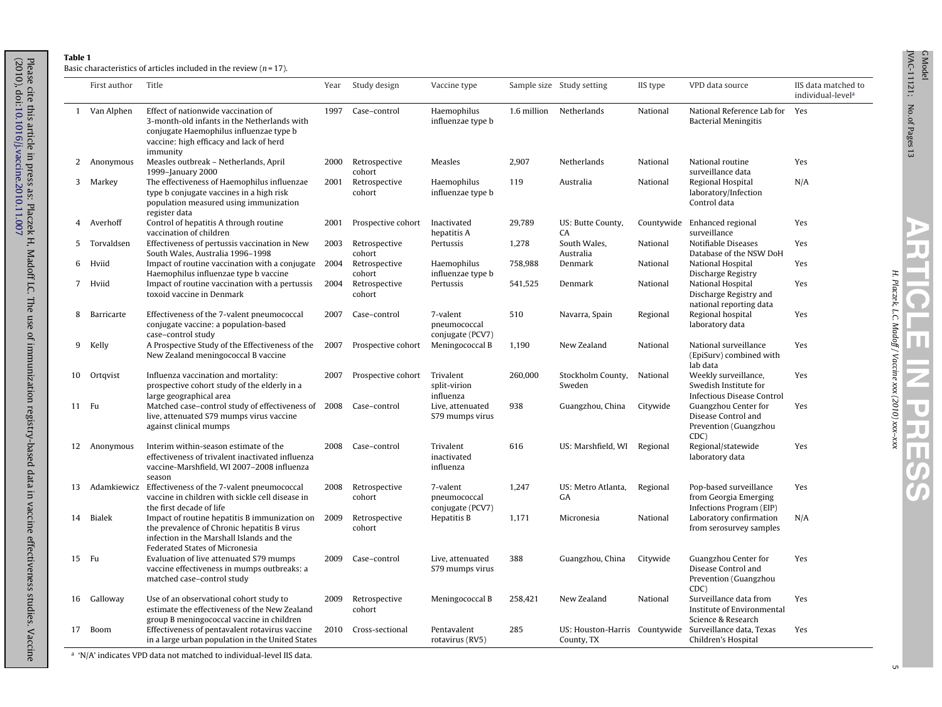$\mathbb{R}^2$ 

#### **Table 1**

<span id="page-5-0"></span>(2010), doi:

[10.1016/j.vaccine.2010.11.007](dx.doi.org/10.1016/j.vaccine.2010.11.007)

Basic characteristics of articles included in the review  $(n = 17)$ .

|    | First author  | Title                                                                                                                                                                                | Year | Study design            | Vaccine type                                 |         | Sample size Study setting                   | IIS type   | VPD data source                                                                    | IIS data matched to<br>individual-level <sup>a</sup> |
|----|---------------|--------------------------------------------------------------------------------------------------------------------------------------------------------------------------------------|------|-------------------------|----------------------------------------------|---------|---------------------------------------------|------------|------------------------------------------------------------------------------------|------------------------------------------------------|
|    | 1 Van Alphen  | Effect of nationwide vaccination of<br>3-month-old infants in the Netherlands with<br>conjugate Haemophilus influenzae type b<br>vaccine: high efficacy and lack of herd<br>immunity | 1997 | Case-control            | Haemophilus<br>influenzae type b             |         | 1.6 million Netherlands                     | National   | National Reference Lab for Yes<br><b>Bacterial Meningitis</b>                      |                                                      |
| 2  | Anonymous     | Measles outbreak - Netherlands, April<br>1999-January 2000                                                                                                                           | 2000 | Retrospective<br>cohort | Measles                                      | 2,907   | Netherlands                                 | National   | National routine<br>surveillance data                                              | Yes                                                  |
| 3  | Markey        | The effectiveness of Haemophilus influenzae<br>type b conjugate vaccines in a high risk<br>population measured using immunization<br>register data                                   | 2001 | Retrospective<br>cohort | Haemophilus<br>influenzae type b             | 119     | Australia                                   | National   | Regional Hospital<br>laboratory/Infection<br>Control data                          | N/A                                                  |
| 4  | Averhoff      | Control of hepatitis A through routine<br>vaccination of children                                                                                                                    | 2001 | Prospective cohort      | Inactivated<br>hepatitis A                   | 29,789  | US: Butte County,<br>CA                     | Countywide | Enhanced regional<br>surveillance                                                  | Yes                                                  |
| 5  | Torvaldsen    | Effectiveness of pertussis vaccination in New<br>South Wales, Australia 1996-1998                                                                                                    | 2003 | Retrospective<br>cohort | Pertussis                                    | 1,278   | South Wales,<br>Australia                   | National   | Notifiable Diseases<br>Database of the NSW DoH                                     | Yes                                                  |
| 6  | Hviid         | Impact of routine vaccination with a conjugate 2004<br>Haemophilus influenzae type b vaccine                                                                                         |      | Retrospective<br>cohort | Haemophilus<br>influenzae type b             | 758,988 | Denmark                                     | National   | National Hospital<br>Discharge Registry                                            | Yes                                                  |
| 7  | Hviid         | Impact of routine vaccination with a pertussis<br>toxoid vaccine in Denmark                                                                                                          | 2004 | Retrospective<br>cohort | Pertussis                                    | 541,525 | Denmark                                     | National   | National Hospital<br>Discharge Registry and<br>national reporting data             | Yes                                                  |
| 8  | Barricarte    | Effectiveness of the 7-valent pneumococcal<br>conjugate vaccine: a population-based<br>case-control study                                                                            | 2007 | Case-control            | 7-valent<br>pneumococcal<br>conjugate (PCV7) | 510     | Navarra, Spain                              | Regional   | Regional hospital<br>laboratory data                                               | Yes                                                  |
| 9  | Kelly         | A Prospective Study of the Effectiveness of the<br>New Zealand meningococcal B vaccine                                                                                               | 2007 | Prospective cohort      | Meningococcal B                              | 1,190   | New Zealand                                 | National   | National surveillance<br>(EpiSurv) combined with<br>lab data                       | Yes                                                  |
| 10 | Ortgvist      | Influenza vaccination and mortality:<br>prospective cohort study of the elderly in a<br>large geographical area                                                                      | 2007 | Prospective cohort      | Trivalent<br>split-virion<br>influenza       | 260,000 | Stockholm County,<br>Sweden                 | National   | Weekly surveillance,<br>Swedish Institute for<br><b>Infectious Disease Control</b> | Yes                                                  |
| 11 | Fu            | Matched case-control study of effectiveness of<br>live, attenuated S79 mumps virus vaccine<br>against clinical mumps                                                                 | 2008 | Case-control            | Live, attenuated<br>S79 mumps virus          | 938     | Guangzhou, China                            | Citywide   | Guangzhou Center for<br>Disease Control and<br>Prevention (Guangzhou<br>CDC)       | Yes                                                  |
| 12 | Anonymous     | Interim within-season estimate of the<br>effectiveness of trivalent inactivated influenza<br>vaccine-Marshfield, WI 2007-2008 influenza<br>season                                    | 2008 | Case-control            | Trivalent<br>inactivated<br>influenza        | 616     | US: Marshfield, WI                          | Regional   | Regional/statewide<br>laboratory data                                              | Yes                                                  |
| 13 |               | Adamkiewicz Effectiveness of the 7-valent pneumococcal<br>vaccine in children with sickle cell disease in<br>the first decade of life                                                | 2008 | Retrospective<br>cohort | 7-valent<br>pneumococcal<br>conjugate (PCV7) | 1,247   | US: Metro Atlanta,<br>GA                    | Regional   | Pop-based surveillance<br>from Georgia Emerging<br>Infections Program (EIP)        | Yes                                                  |
| 14 | <b>Bialek</b> | Impact of routine hepatitis B immunization on<br>the prevalence of Chronic hepatitis B virus<br>infection in the Marshall Islands and the<br>Federated States of Micronesia          | 2009 | Retrospective<br>cohort | Hepatitis B                                  | 1,171   | Micronesia                                  | National   | Laboratory confirmation<br>from serosurvey samples                                 | N/A                                                  |
|    | 15 Fu         | Evaluation of live attenuated S79 mumps<br>vaccine effectiveness in mumps outbreaks: a<br>matched case-control study                                                                 | 2009 | Case-control            | Live, attenuated<br>S79 mumps virus          | 388     | Guangzhou, China                            | Citywide   | Guangzhou Center for<br>Disease Control and<br>Prevention (Guangzhou<br>CDC)       | Yes                                                  |
| 16 | Galloway      | Use of an observational cohort study to<br>estimate the effectiveness of the New Zealand<br>group B meningococcal vaccine in children                                                | 2009 | Retrospective<br>cohort | Meningococcal B                              | 258,421 | New Zealand                                 | National   | Surveillance data from<br>Institute of Environmental<br>Science & Research         | Yes                                                  |
| 17 | Boom          | Effectiveness of pentavalent rotavirus vaccine<br>in a large urban population in the United States                                                                                   | 2010 | Cross-sectional         | Pentavalent<br>rotavirus (RV5)               | 285     | US: Houston-Harris Countywide<br>County, TX |            | Surveillance data, Texas<br>Children's Hospital                                    | Yes                                                  |

<sup>a</sup> 'N/A' indicates VPD data not matched to individual-level IIS data.

Please cite this article in press as: Placzek H, Madoff LC. The use of immunization registry-based data in vaccine effectiveness studies. Vaccine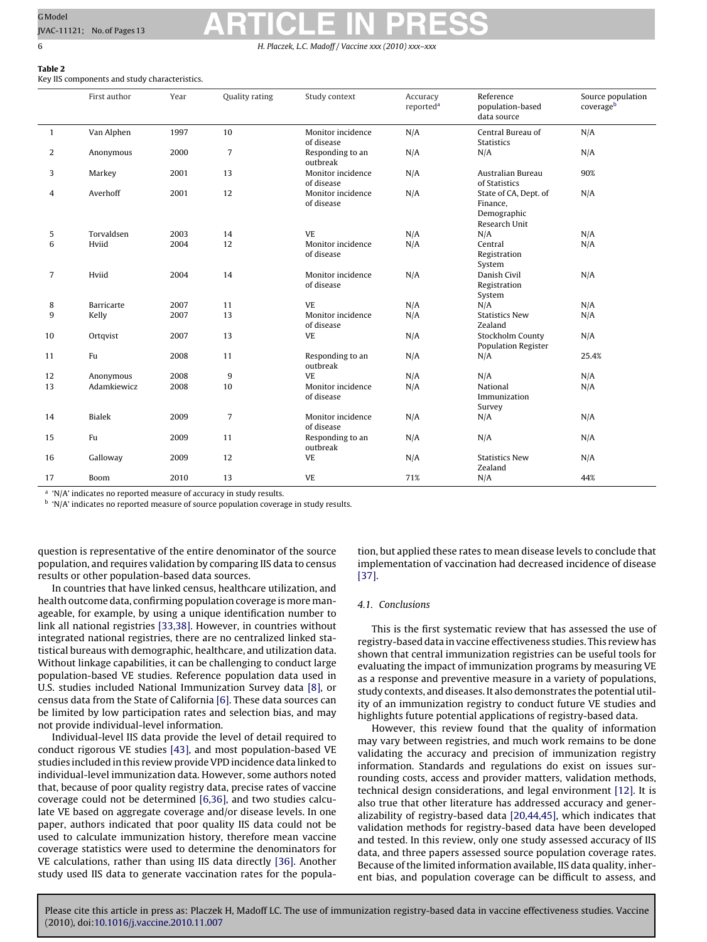### <span id="page-6-0"></span>GModel GModel Reserves ARTICLE IN PRESS 6 H. Placzek, L.C. Madoff / Vaccine *xxx (2010) xxx–xxx*

Key IIS components and study characteristics.

|                | First author  | Year | Quality rating | Study context                   | Accuracy<br>reported <sup>a</sup> | Reference<br>population-based<br>data source                      | Source population<br>coverageb |
|----------------|---------------|------|----------------|---------------------------------|-----------------------------------|-------------------------------------------------------------------|--------------------------------|
| $\mathbf{1}$   | Van Alphen    | 1997 | 10             | Monitor incidence<br>of disease | N/A                               | Central Bureau of<br><b>Statistics</b>                            | N/A                            |
| 2              | Anonymous     | 2000 | $\overline{7}$ | Responding to an<br>outbreak    | N/A                               | N/A                                                               | N/A                            |
| 3              | Markey        | 2001 | 13             | Monitor incidence<br>of disease | N/A                               | Australian Bureau<br>of Statistics                                | 90%                            |
| 4              | Averhoff      | 2001 | 12             | Monitor incidence<br>of disease | N/A                               | State of CA, Dept. of<br>Finance,<br>Demographic<br>Research Unit | N/A                            |
| 5              | Torvaldsen    | 2003 | 14             | <b>VE</b>                       | N/A                               | N/A                                                               | N/A                            |
| 6              | Hviid         | 2004 | 12             | Monitor incidence<br>of disease | N/A                               | Central<br>Registration<br>System                                 | N/A                            |
| $\overline{7}$ | Hviid         | 2004 | 14             | Monitor incidence<br>of disease | N/A                               | Danish Civil<br>Registration<br>System                            | N/A                            |
| 8              | Barricarte    | 2007 | 11             | <b>VE</b>                       | N/A                               | N/A                                                               | N/A                            |
| 9              | Kelly         | 2007 | 13             | Monitor incidence<br>of disease | N/A                               | <b>Statistics New</b><br>Zealand                                  | N/A                            |
| 10             | Ortqvist      | 2007 | 13             | <b>VE</b>                       | N/A                               | Stockholm County<br><b>Population Register</b>                    | N/A                            |
| 11             | Fu            | 2008 | 11             | Responding to an<br>outbreak    | N/A                               | N/A                                                               | 25.4%                          |
| 12             | Anonymous     | 2008 | 9              | <b>VE</b>                       | N/A                               | N/A                                                               | N/A                            |
| 13             | Adamkiewicz   | 2008 | 10             | Monitor incidence<br>of disease | N/A                               | National<br>Immunization<br>Survey                                | N/A                            |
| 14             | <b>Bialek</b> | 2009 | $\overline{7}$ | Monitor incidence<br>of disease | N/A                               | N/A                                                               | N/A                            |
| 15             | Fu            | 2009 | 11             | Responding to an<br>outbreak    | N/A                               | N/A                                                               | N/A                            |
| 16             | Galloway      | 2009 | 12             | <b>VE</b>                       | N/A                               | <b>Statistics New</b><br>Zealand                                  | N/A                            |
| 17             | Boom          | 2010 | 13             | VE                              | 71%                               | N/A                                                               | 44%                            |

<sup>a</sup> 'N/A' indicates no reported measure of accuracy in study results.

<sup>b</sup> 'N/A' indicates no reported measure of source population coverage in study results.

question is representative of the entire denominator of the source population, and requires validation by comparing IIS data to census results or other population-based data sources.

In countries that have linked census, healthcare utilization, and health outcome data, confirming population coverage is more manageable, for example, by using a unique identification number to link all national registries [\[33,38\].](#page-12-0) However, in countries without integrated national registries, there are no centralized linked statistical bureaus with demographic, healthcare, and utilization data. Without linkage capabilities, it can be challenging to conduct large population-based VE studies. Reference population data used in U.S. studies included National Immunization Survey data [\[8\],](#page-12-0) or census data from the State of California [\[6\]. T](#page-12-0)hese data sources can be limited by low participation rates and selection bias, and may not provide individual-level information.

Individual-level IIS data provide the level of detail required to conduct rigorous VE studies [\[43\], a](#page-13-0)nd most population-based VE studies included in this review provide VPD incidence data linked to individual-level immunization data. However, some authors noted that, because of poor quality registry data, precise rates of vaccine coverage could not be determined [\[6,36\],](#page-12-0) and two studies calculate VE based on aggregate coverage and/or disease levels. In one paper, authors indicated that poor quality IIS data could not be used to calculate immunization history, therefore mean vaccine coverage statistics were used to determine the denominators for VE calculations, rather than using IIS data directly [\[36\].](#page-12-0) Another study used IIS data to generate vaccination rates for the popula-

tion, but applied these rates to mean disease levels to conclude that implementation of vaccination had decreased incidence of disease [\[37\].](#page-12-0)

#### 4.1. Conclusions

This is the first systematic review that has assessed the use of registry-based data in vaccine effectiveness studies. This review has shown that central immunization registries can be useful tools for evaluating the impact of immunization programs by measuring VE as a response and preventive measure in a variety of populations, study contexts, and diseases. It also demonstrates the potential utility of an immunization registry to conduct future VE studies and highlights future potential applications of registry-based data.

However, this review found that the quality of information may vary between registries, and much work remains to be done validating the accuracy and precision of immunization registry information. Standards and regulations do exist on issues surrounding costs, access and provider matters, validation methods, technical design considerations, and legal environment [\[12\].](#page-12-0) It is also true that other literature has addressed accuracy and generalizability of registry-based data [\[20,44,45\], w](#page-12-0)hich indicates that validation methods for registry-based data have been developed and tested. In this review, only one study assessed accuracy of IIS data, and three papers assessed source population coverage rates. Because of the limited information available, IIS data quality, inherent bias, and population coverage can be difficult to assess, and

**Table 2**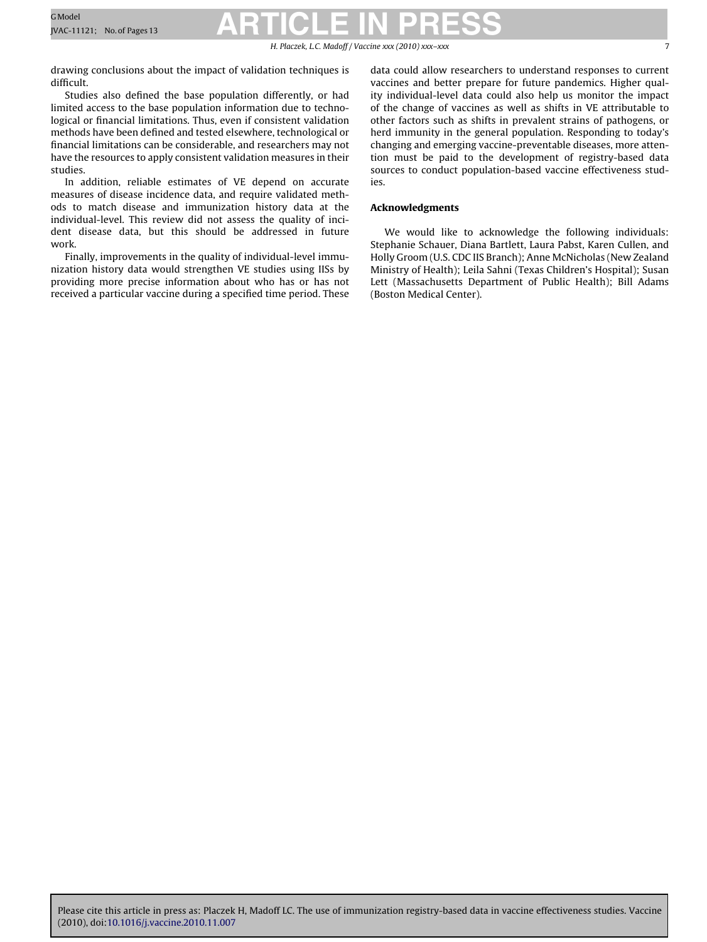H. Placzek, L.C. Madoff / Vaccine *xxx (2010) xxx–xxx* 7

drawing conclusions about the impact of validation techniques is difficult.

Studies also defined the base population differently, or had limited access to the base population information due to technological or financial limitations. Thus, even if consistent validation methods have been defined and tested elsewhere, technological or financial limitations can be considerable, and researchers may not have the resources to apply consistent validation measures in their studies.

In addition, reliable estimates of VE depend on accurate measures of disease incidence data, and require validated methods to match disease and immunization history data at the individual-level. This review did not assess the quality of incident disease data, but this should be addressed in future work.

Finally, improvements in the quality of individual-level immunization history data would strengthen VE studies using IISs by providing more precise information about who has or has not received a particular vaccine during a specified time period. These data could allow researchers to understand responses to current vaccines and better prepare for future pandemics. Higher quality individual-level data could also help us monitor the impact of the change of vaccines as well as shifts in VE attributable to other factors such as shifts in prevalent strains of pathogens, or herd immunity in the general population. Responding to today's changing and emerging vaccine-preventable diseases, more attention must be paid to the development of registry-based data sources to conduct population-based vaccine effectiveness studies.

#### **Acknowledgments**

We would like to acknowledge the following individuals: Stephanie Schauer, Diana Bartlett, Laura Pabst, Karen Cullen, and Holly Groom (U.S. CDC IIS Branch); Anne McNicholas (New Zealand Ministry of Health); Leila Sahni (Texas Children's Hospital); Susan Lett (Massachusetts Department of Public Health); Bill Adams (Boston Medical Center).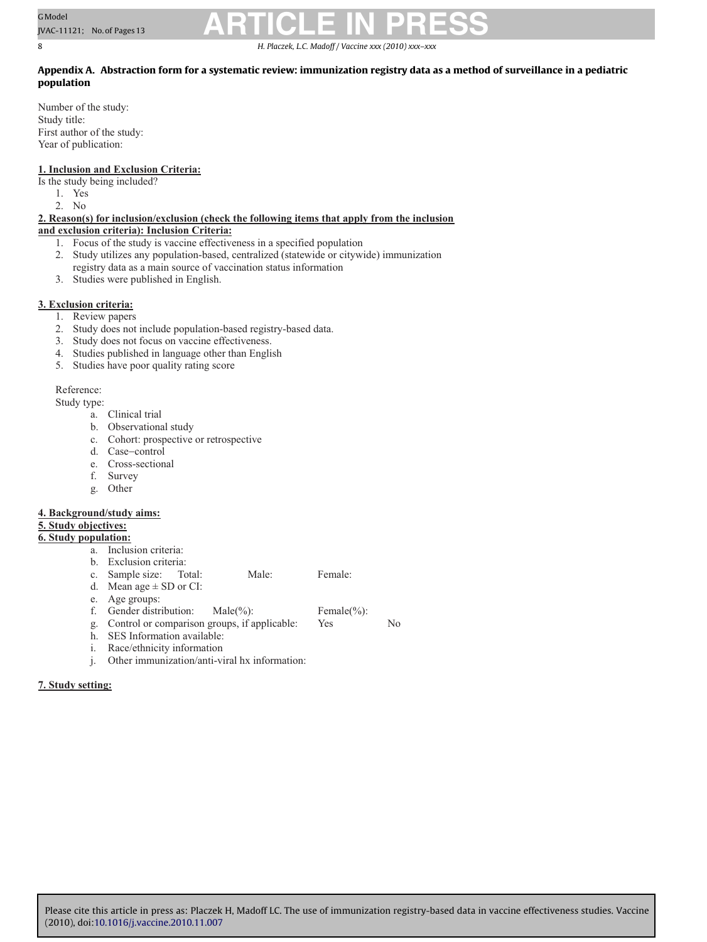<span id="page-8-0"></span>8 H. Placzek, L.C. Madoff / Vaccine *xxx (2010) xxx–xxx*

#### **Appendix A. Abstraction form for a systematic review: immunization registry data as a method of surveillance in a pediatric population**

Number of the study: Study title: First author of the study: Year of publication:

#### **1. Inclusion and Exclusion Criteria:**

Is the study being included?

- 1. Yes
- 2. No

**2. Reason(s) for inclusion/exclusion (check the following items that apply from the inclusion** 

### **and exclusion criteria): Inclusion Criteria:**

- 1. Focus of the study is vaccine effectiveness in a specified population
- 2. Study utilizes any population-based, centralized (statewide or citywide) immunization registry data as a main source of vaccination status information
- 3. Studies were published in English.

### **3. Exclusion criteria:**

- 1. Review papers
- 2. Study does not include population-based registry-based data.
- 3. Study does not focus on vaccine effectiveness.
- 4. Studies published in language other than English
- 5. Studies have poor quality rating score

Reference:

Study type:

- a. Clinical trial
- b. Observational study
- c. Cohort: prospective or retrospective
- d. Case−control
- e. Cross-sectional
- f. Survey
- g. Other

#### **4. Background/study aims:**

### **5. Study objectives:**

- **6. Study population:** 
	- a. Inclusion criteria: b. Exclusion criteria:
	- c. Sample size: Total: Male: Female:
	- d. Mean age  $\pm$  SD or CI:
	- e. Age groups:
	- f. Gender distribution: Male(%): Female(%):  $\alpha$ . Control or comparison groups, if applicable: Yes
	- g. Control or comparison groups, if applicable: Yes No
	- h. SES Information available:
	- i. Race/ethnicity information
	- j. Other immunization/anti-viral hx information:

#### **7. Study setting:**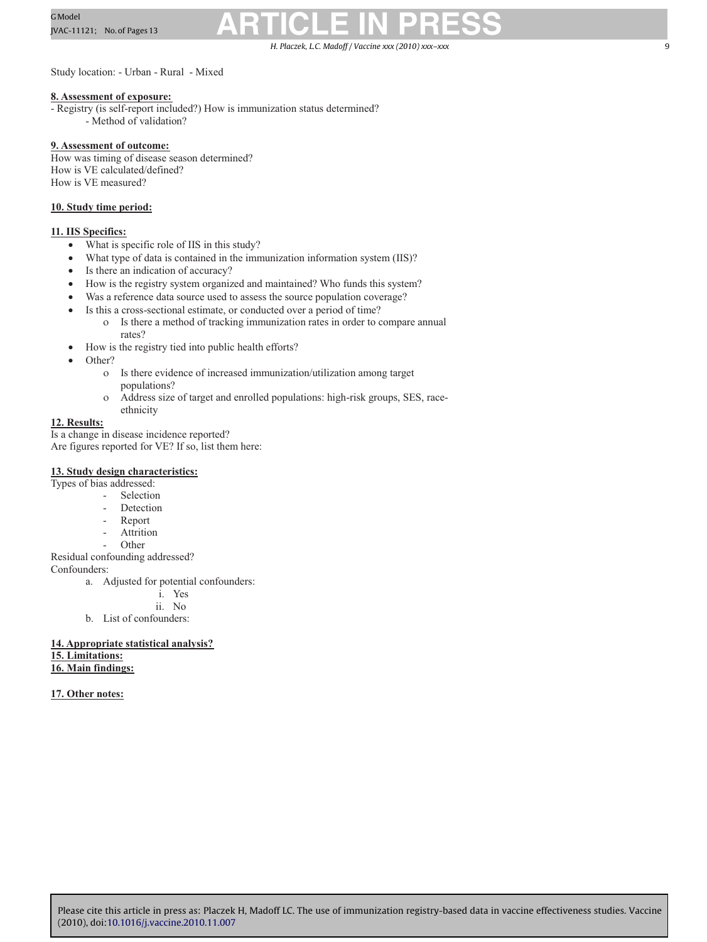H. Placzek, L.C. Madoff / Vaccine *xxx (2010) xxx–xxx* 9

Study location: - Urban - Rural - Mixed

#### **8. Assessment of exposure:**

- Registry (is self-report included?) How is immunization status determined?

- Method of validation?

#### **9. Assessment of outcome:**

How was timing of disease season determined? How is VE calculated/defined? How is VE measured?

#### **10. Study time period:**

#### **11. IIS Specifics:**

- What is specific role of IIS in this study?
- What type of data is contained in the immunization information system (IIS)?
- Is there an indication of accuracy?
- How is the registry system organized and maintained? Who funds this system?
- Was a reference data source used to assess the source population coverage?
- Is this a cross-sectional estimate, or conducted over a period of time?
	- ο Is there a method of tracking immunization rates in order to compare annual rates?
- How is the registry tied into public health efforts?
- Other?
	- ο Is there evidence of increased immunization/utilization among target populations?
	- ο Address size of target and enrolled populations: high-risk groups, SES, raceethnicity

#### **12. Results:**

Is a change in disease incidence reported? Are figures reported for VE? If so, list them here:

#### **13. Study design characteristics:**

- Types of bias addressed:
	- Selection
	- Detection
	- Report
	- **Attrition**
	- **Other**

#### Residual confounding addressed?

Confounders:

- a. Adjusted for potential confounders:
	- i. Yes
	- ii. No
- b. List of confounders:

#### **14. Appropriate statistical analysis? 15. Limitations: 16. Main findings:**

#### **17. Other notes:**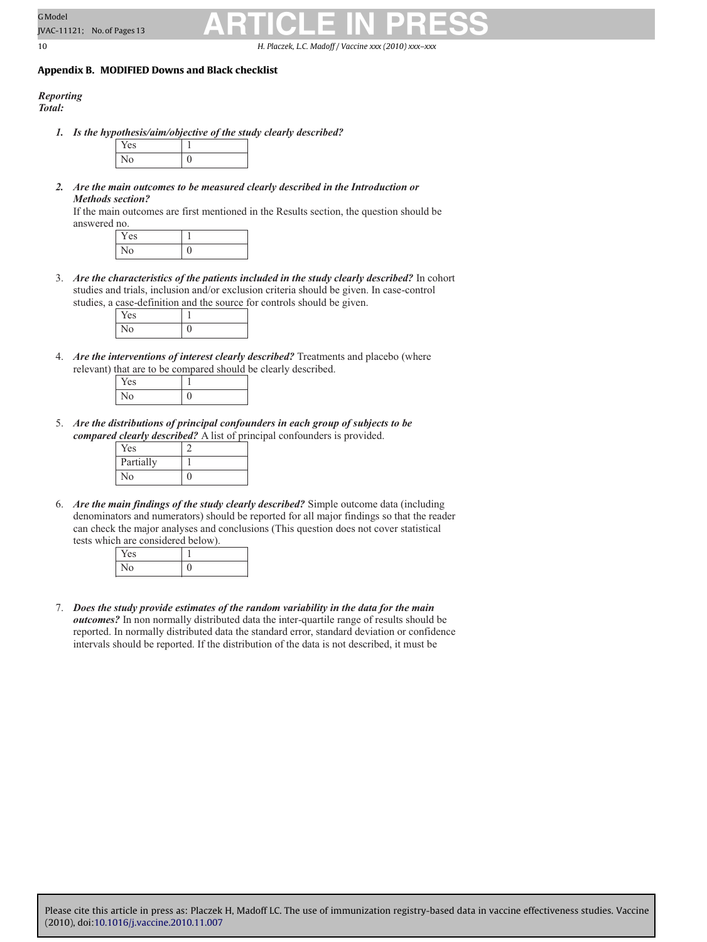<span id="page-10-0"></span>10 H. Placzek, L.C. Madoff / Vaccine *xxx (2010) xxx–xxx*

#### **Appendix B. MODIFIED Downs and Black checklist**

### *Reporting*

*Total:* 

*1. Is the hypothesis/aim/objective of the study clearly described?*



*2. Are the main outcomes to be measured clearly described in the Introduction or Methods section?*

If the main outcomes are first mentioned in the Results section, the question should be answered no.

3. *Are the characteristics of the patients included in the study clearly described?* In cohort studies and trials, inclusion and/or exclusion criteria should be given. In case-control studies, a case-definition and the source for controls should be given.

| $\sim$ |  |
|--------|--|
| 1 I U  |  |

4. *Are the interventions of interest clearly described?* Treatments and placebo (where relevant) that are to be compared should be clearly described.

| ∽       |  |
|---------|--|
| ۰.<br>÷ |  |

5. *Are the distributions of principal confounders in each group of subjects to be compared clearly described?* A list of principal confounders is provided.

| Yes       |  |
|-----------|--|
| Partially |  |
| No        |  |

6. *Are the main findings of the study clearly described?* Simple outcome data (including denominators and numerators) should be reported for all major findings so that the reader can check the major analyses and conclusions (This question does not cover statistical tests which are considered below).

| les. |  |
|------|--|
| NΟ   |  |

7. *Does the study provide estimates of the random variability in the data for the main outcomes?* In non normally distributed data the inter-quartile range of results should be reported. In normally distributed data the standard error, standard deviation or confidence intervals should be reported. If the distribution of the data is not described, it must be

 $Yes$  1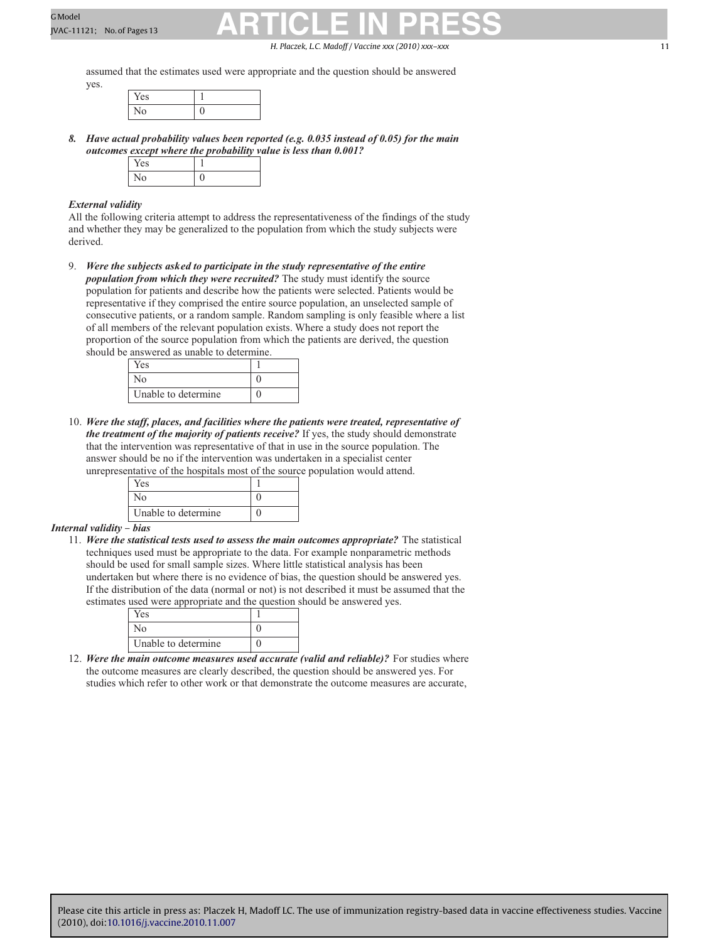H. Placzek, L.C. Madoff / Vaccine *xxx* (2010) xxx–xxx 11

assumed that the estimates used were appropriate and the question should be answered yes.

| . |  |
|---|--|
|   |  |

*8. Have actual probability values been reported (e.g. 0.035 instead of 0.05) for the main outcomes except where the probability value is less than 0.001?*

#### *External validity*

All the following criteria attempt to address the representativeness of the findings of the study and whether they may be generalized to the population from which the study subjects were derived.

9. *Were the subjects asked to participate in the study representative of the entire population from which they were recruited?* The study must identify the source population for patients and describe how the patients were selected. Patients would be representative if they comprised the entire source population, an unselected sample of consecutive patients, or a random sample. Random sampling is only feasible where a list of all members of the relevant population exists. Where a study does not report the proportion of the source population from which the patients are derived, the question should be answered as unable to determine.

| Yes                 |  |
|---------------------|--|
| Nο                  |  |
| Unable to determine |  |

10. *Were the staff, places, and facilities where the patients were treated, representative of the treatment of the majority of patients receive?* If yes, the study should demonstrate that the intervention was representative of that in use in the source population. The answer should be no if the intervention was undertaken in a specialist center unrepresentative of the hospitals most of the source population would attend.

| Yes                 |  |
|---------------------|--|
| √ი                  |  |
| Unable to determine |  |

#### *Internal validity – bias*

11. *Were the statistical tests used to assess the main outcomes appropriate?* The statistical techniques used must be appropriate to the data. For example nonparametric methods should be used for small sample sizes. Where little statistical analysis has been undertaken but where there is no evidence of bias, the question should be answered yes. If the distribution of the data (normal or not) is not described it must be assumed that the estimates used were appropriate and the question should be answered yes.

| Yes                 |  |
|---------------------|--|
| ง∩                  |  |
| Unable to determine |  |

12. *Were the main outcome measures used accurate (valid and reliable)?* For studies where the outcome measures are clearly described, the question should be answered yes. For studies which refer to other work or that demonstrate the outcome measures are accurate,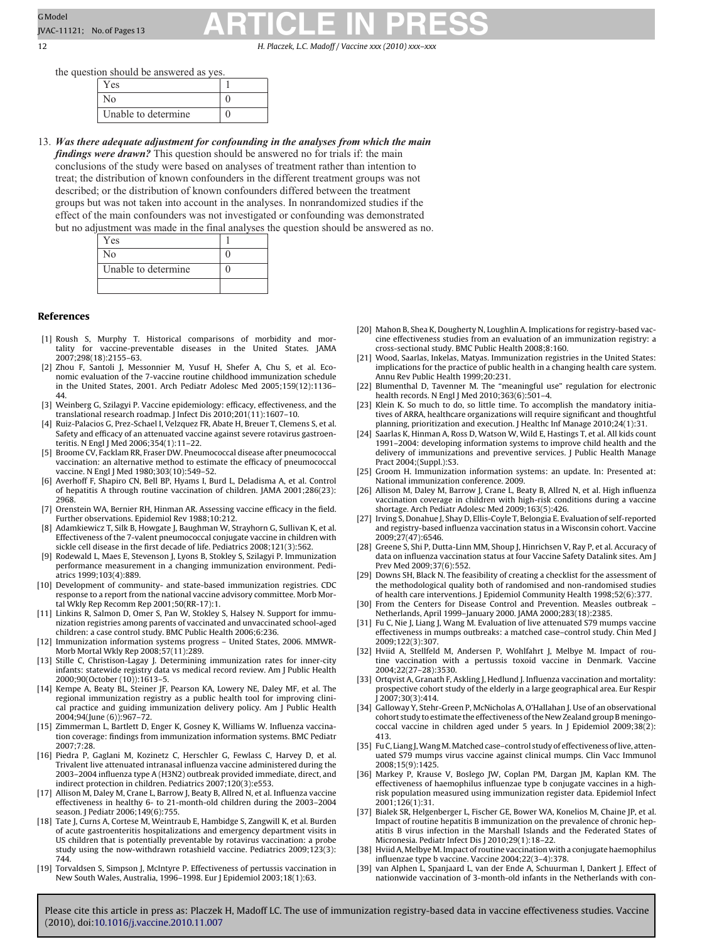12 H. Placzek, L.C. Madoff / Vaccine *xxx (2010) xxx–xxx*

the question should be answered as yes.

| Y es                |  |
|---------------------|--|
|                     |  |
| Unable to determine |  |

13. *Was there adequate adjustment for confounding in the analyses from which the main findings were drawn?* This question should be answered no for trials if: the main conclusions of the study were based on analyses of treatment rather than intention to treat; the distribution of known confounders in the different treatment groups was not described; or the distribution of known confounders differed between the treatment groups but was not taken into account in the analyses. In nonrandomized studies if the effect of the main confounders was not investigated or confounding was demonstrated but no adjustment was made in the final analyses the question should be answered as no.

| Yes                 |  |
|---------------------|--|
| No                  |  |
| Unable to determine |  |
|                     |  |

#### **References**

- [1] Roush S, Murphy T. Historical comparisons of morbidity and mortality for vaccine-preventable diseases in the United States. JAMA 2007;298(18):2155–63.
- [2] Zhou F, Santoli J, Messonnier M, Yusuf H, Shefer A, Chu S, et al. Economic evaluation of the 7-vaccine routine childhood immunization schedule in the United States, 2001. Arch Pediatr Adolesc Med 2005;159(12):1136–
- 44. [3] Weinberg G, Szilagyi P. Vaccine epidemiology: efficacy, effectiveness, and the translational research roadmap. J Infect Dis 2010;201(11):1607–10.
- [4] Ruiz-Palacios G, Prez-Schael I, Velzquez FR, Abate H, Breuer T, Clemens S, et al. Safety and efficacy of an attenuated vaccine against severe rotavirus gastroenteritis. N Engl J Med 2006;354(1):11–22.
- [5] Broome CV, Facklam RR, Fraser DW. Pneumococcal disease after pneumococcal vaccination: an alternative method to estimate the efficacy of pneumococcal vaccine. N Engl J Med 1980;303(10):549-52.
- [6] Averhoff F, Shapiro CN, Bell BP, Hyams I, Burd L, Deladisma A, et al. Control of hepatitis A through routine vaccination of children. JAMA 2001;286(23): 2968.
- [7] Orenstein WA, Bernier RH, Hinman AR. Assessing vaccine efficacy in the field. Further observations. Epidemiol Rev 1988;10:212.
- [8] Adamkiewicz T, Silk B, Howgate J, Baughman W, Strayhorn G, Sullivan K, et al. Effectiveness of the 7-valent pneumococcal conjugate vaccine in children with sickle cell disease in the first decade of life. Pediatrics 2008;121(3):562.
- [9] Rodewald L, Maes E, Stevenson J, Lyons B, Stokley S, Szilagyi P. Immunization performance measurement in a changing immunization environment. Pediatrics 1999;103(4):889.
- [10] Development of community- and state-based immunization registries. CDC response to a report from the national vaccine advisory committee. Morb Mortal Wkly Rep Recomm Rep 2001;50(RR-17):1.
- [11] Linkins R, Salmon D, Omer S, Pan W, Stokley S, Halsey N. Support for immunization registries among parents of vaccinated and unvaccinated school-aged children: a case control study. BMC Public Health 2006;6:236.
- [12] Immunization information systems progress United States, 2006. MMWR-Morb Mortal Wkly Rep 2008;57(11):289.
- [13] Stille C, Christison-Lagay J. Determining immunization rates for inner-city infants: statewide registry data vs medical record review. Am J Public Health 2000;90(October (10)):1613–5.
- [14] Kempe A, Beaty BL, Steiner JF, Pearson KA, Lowery NE, Daley MF, et al. The regional immunization registry as a public health tool for improving clinical practice and guiding immunization delivery policy. Am J Public Health 2004;94(June (6)):967–72.
- [15] Zimmerman L, Bartlett D, Enger K, Gosney K, Williams W. Influenza vaccination coverage: findings from immunization information systems. BMC Pediatr 2007;7:28.
- [16] Piedra P, Gaglani M, Kozinetz C, Herschler G, Fewlass C, Harvey D, et al. Trivalent live attenuated intranasal influenza vaccine administered during the 2003–2004 influenza type A (H3N2) outbreak provided immediate, direct, and indirect protection in children. Pediatrics 2007;120(3):e553.
- [17] Allison M, Daley M, Crane L, Barrow J, Beaty B, Allred N, et al. Influenza vaccine effectiveness in healthy 6- to 21-month-old children during the 2003–2004 season. J Pediatr 2006;149(6):755.
- [18] Tate J, Curns A, Cortese M, Weintraub E, Hambidge S, Zangwill K, et al. Burden of acute gastroenteritis hospitalizations and emergency department visits in US children that is potentially preventable by rotavirus vaccination: a probe study using the now-withdrawn rotashield vaccine. Pediatrics 2009;123(3): 744.
- [19] Torvaldsen S, Simpson J, McIntyre P. Effectiveness of pertussis vaccination in New South Wales, Australia, 1996–1998. Eur J Epidemiol 2003;18(1):63.
- [20] Mahon B, Shea K, Dougherty N, Loughlin A. Implications for registry-based vaccine effectiveness studies from an evaluation of an immunization registry: a cross-sectional study. BMC Public Health 2008;8:160.
- [21] Wood, Saarlas, Inkelas, Matyas. Immunization registries in the United States: implications for the practice of public health in a changing health care system. Annu Rev Public Health 1999;20:231.
- [22] Blumenthal D, Tavenner M. The "meaningful use" regulation for electronic health records. N Engl J Med 2010;363(6):501–4.
- [23] Klein K. So much to do, so little time. To accomplish the mandatory initiatives of ARRA, healthcare organizations will require significant and thoughtful planning, prioritization and execution. J Healthc Inf Manage 2010;24(1):31.
- Saarlas K, Hinman A, Ross D, Watson W, Wild E, Hastings T, et al. All kids count 1991–2004: developing information systems to improve child health and the delivery of immunizations and preventive services. J Public Health Manage Pract 2004;(Suppl.):S3.
- [25] Groom H. Immunization information systems: an update. In: Presented at: National immunization conference. 2009.
- [26] Allison M, Daley M, Barrow J, Crane L, Beaty B, Allred N, et al. High influenza vaccination coverage in children with high-risk conditions during a vaccine shortage. Arch Pediatr Adolesc Med 2009;163(5):426.
- [27] Irving S, Donahue J, Shay D, Ellis-Coyle T, Belongia E. Evaluation of self-reported and registry-based influenza vaccination status in a Wisconsin cohort. Vaccine 2009;27(47):6546.
- [28] Greene S, Shi P, Dutta-Linn MM, Shoup J, Hinrichsen V, Ray P, et al. Accuracy of data on influenza vaccination status at four Vaccine Safety Datalink sites. Am J Prev Med 2009;37(6):552.
- [29] Downs SH, Black N. The feasibility of creating a checklist for the assessment of the methodological quality both of randomised and non-randomised studies of health care interventions. J Epidemiol Community Health 1998;52(6):377.
- [30] From the Centers for Disease Control and Prevention. Measles outbreak Netherlands, April 1999–January 2000. JAMA 2000;283(18):2385.
- [31] Fu C, Nie J, Liang J, Wang M. Evaluation of live attenuated S79 mumps vaccine effectiveness in mumps outbreaks: a matched case–control study. Chin Med J 2009;122(3):307.
- [32] Hviid A, Stellfeld M, Andersen P, Wohlfahrt J, Melbye M. Impact of routine vaccination with a pertussis toxoid vaccine in Denmark. Vaccine 2004;22(27–28):3530.
- [33] Ortqvist A, Granath F, Askling J, Hedlund J. Influenza vaccination and mortality: prospective cohort study of the elderly in a large geographical area. Eur Respir J 2007;30(3):414.
- [34] Galloway Y, Stehr-Green P, McNicholas A, O'Hallahan J. Use of an observational cohort study to estimate the effectiveness of the New Zealand group B meningococcal vaccine in children aged under 5 years. In J Epidemiol 2009;38(2): 413.
- [35] Fu C, Liang J, Wang M. Matched case-control study of effectiveness of live, attenuated S79 mumps virus vaccine against clinical mumps. Clin Vacc Immunol 2008;15(9):1425.
- [36] Markey P, Krause V, Boslego JW, Coplan PM, Dargan JM, Kaplan KM. The effectiveness of haemophilus influenzae type b conjugate vaccines in a highrisk population measured using immunization register data. Epidemiol Infect 2001;126(1):31.
- [37] Bialek SR, Helgenberger L, Fischer GE, Bower WA, Konelios M, Chaine JP, et al. Impact of routine hepatitis B immunization on the prevalence of chronic hepatitis B virus infection in the Marshall Islands and the Federated States of Micronesia. Pediatr Infect Dis J 2010;29(1):18–22.
- [38] Hviid A, Melbye M. Impact of routine vaccination with a conjugate haemophilus influenzae type b vaccine. Vaccine 2004;22(3–4):378.
- [39] van Alphen L, Spanjaard L, van der Ende A, Schuurman I, Dankert J. Effect of nationwide vaccination of 3-month-old infants in the Netherlands with con-

<span id="page-12-0"></span>